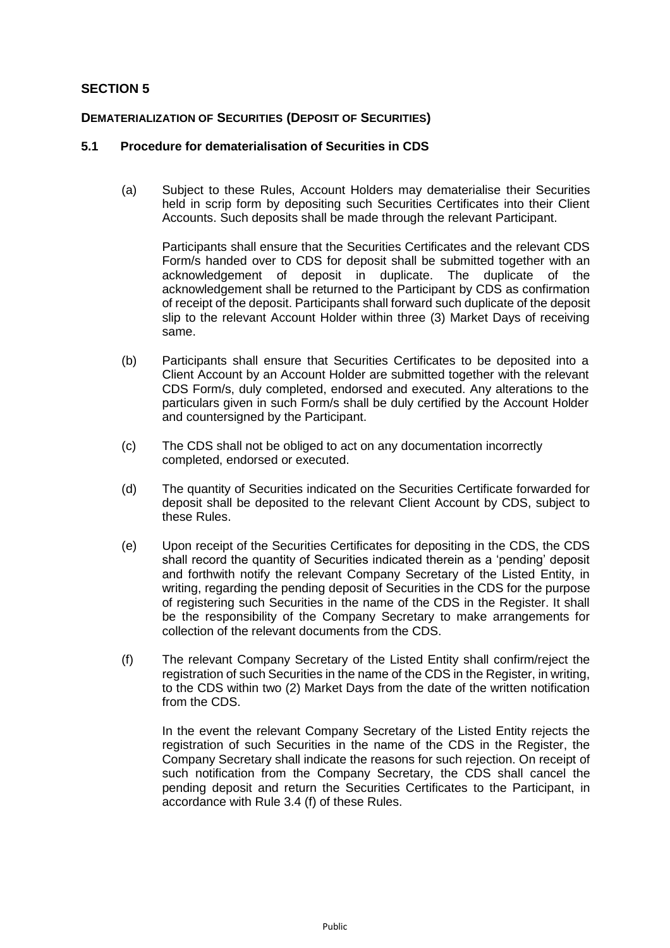# **SECTION 5**

## **DEMATERIALIZATION OF SECURITIES (DEPOSIT OF SECURITIES)**

#### **5.1 Procedure for dematerialisation of Securities in CDS**

(a) Subject to these Rules, Account Holders may dematerialise their Securities held in scrip form by depositing such Securities Certificates into their Client Accounts. Such deposits shall be made through the relevant Participant.

Participants shall ensure that the Securities Certificates and the relevant CDS Form/s handed over to CDS for deposit shall be submitted together with an acknowledgement of deposit in duplicate. The duplicate of the acknowledgement shall be returned to the Participant by CDS as confirmation of receipt of the deposit. Participants shall forward such duplicate of the deposit slip to the relevant Account Holder within three (3) Market Days of receiving same.

- (b) Participants shall ensure that Securities Certificates to be deposited into a Client Account by an Account Holder are submitted together with the relevant CDS Form/s, duly completed, endorsed and executed. Any alterations to the particulars given in such Form/s shall be duly certified by the Account Holder and countersigned by the Participant.
- (c) The CDS shall not be obliged to act on any documentation incorrectly completed, endorsed or executed.
- (d) The quantity of Securities indicated on the Securities Certificate forwarded for deposit shall be deposited to the relevant Client Account by CDS, subject to these Rules.
- (e) Upon receipt of the Securities Certificates for depositing in the CDS, the CDS shall record the quantity of Securities indicated therein as a 'pending' deposit and forthwith notify the relevant Company Secretary of the Listed Entity, in writing, regarding the pending deposit of Securities in the CDS for the purpose of registering such Securities in the name of the CDS in the Register. It shall be the responsibility of the Company Secretary to make arrangements for collection of the relevant documents from the CDS.
- (f) The relevant Company Secretary of the Listed Entity shall confirm/reject the registration of such Securities in the name of the CDS in the Register, in writing, to the CDS within two (2) Market Days from the date of the written notification from the CDS.

In the event the relevant Company Secretary of the Listed Entity rejects the registration of such Securities in the name of the CDS in the Register, the Company Secretary shall indicate the reasons for such rejection. On receipt of such notification from the Company Secretary, the CDS shall cancel the pending deposit and return the Securities Certificates to the Participant, in accordance with Rule 3.4 (f) of these Rules.